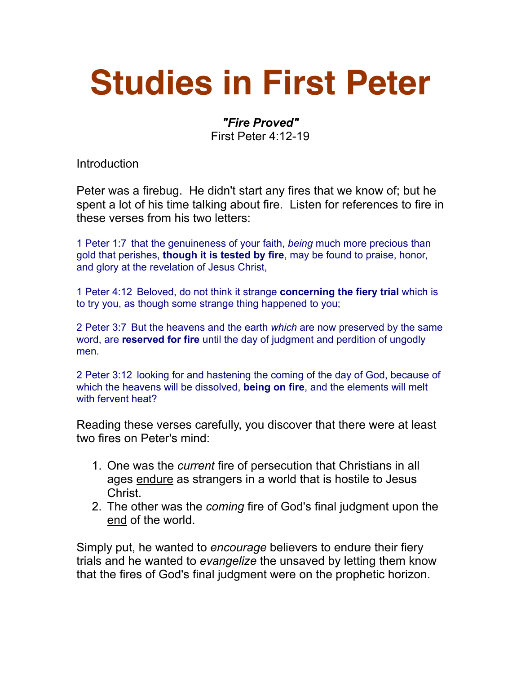## **Studies in First Peter**

## *"Fire Proved"*

First Peter 4:12-19

Introduction

Peter was a firebug. He didn't start any fires that we know of; but he spent a lot of his time talking about fire. Listen for references to fire in these verses from his two letters:

1 Peter 1:7 that the genuineness of your faith, *being* much more precious than gold that perishes, **though it is tested by fire**, may be found to praise, honor, and glory at the revelation of Jesus Christ,

1 Peter 4:12 Beloved, do not think it strange **concerning the fiery trial** which is to try you, as though some strange thing happened to you;

2 Peter 3:7 But the heavens and the earth *which* are now preserved by the same word, are **reserved for fire** until the day of judgment and perdition of ungodly men.

2 Peter 3:12 looking for and hastening the coming of the day of God, because of which the heavens will be dissolved, **being on fire**, and the elements will melt with fervent heat?

Reading these verses carefully, you discover that there were at least two fires on Peter's mind:

- 1. One was the *current* fire of persecution that Christians in all ages endure as strangers in a world that is hostile to Jesus Christ.
- 2. The other was the *coming* fire of God's final judgment upon the end of the world.

Simply put, he wanted to *encourage* believers to endure their fiery trials and he wanted to *evangelize* the unsaved by letting them know that the fires of God's final judgment were on the prophetic horizon.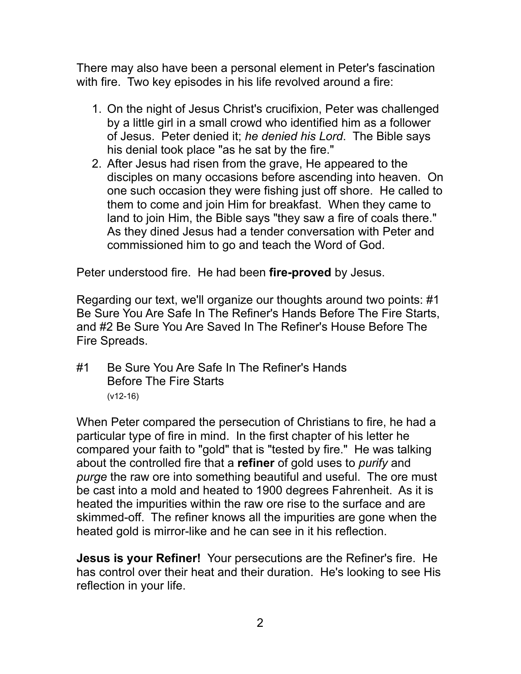There may also have been a personal element in Peter's fascination with fire. Two key episodes in his life revolved around a fire:

- 1. On the night of Jesus Christ's crucifixion, Peter was challenged by a little girl in a small crowd who identified him as a follower of Jesus. Peter denied it; *he denied his Lord*. The Bible says his denial took place "as he sat by the fire."
- 2. After Jesus had risen from the grave, He appeared to the disciples on many occasions before ascending into heaven. On one such occasion they were fishing just off shore. He called to them to come and join Him for breakfast. When they came to land to join Him, the Bible says "they saw a fire of coals there." As they dined Jesus had a tender conversation with Peter and commissioned him to go and teach the Word of God.

Peter understood fire. He had been **fire-proved** by Jesus.

Regarding our text, we'll organize our thoughts around two points: #1 Be Sure You Are Safe In The Refiner's Hands Before The Fire Starts, and #2 Be Sure You Are Saved In The Refiner's House Before The Fire Spreads.

#1 Be Sure You Are Safe In The Refiner's Hands Before The Fire Starts (v12-16)

When Peter compared the persecution of Christians to fire, he had a particular type of fire in mind. In the first chapter of his letter he compared your faith to "gold" that is "tested by fire." He was talking about the controlled fire that a **refiner** of gold uses to *purify* and *purge* the raw ore into something beautiful and useful. The ore must be cast into a mold and heated to 1900 degrees Fahrenheit. As it is heated the impurities within the raw ore rise to the surface and are skimmed-off. The refiner knows all the impurities are gone when the heated gold is mirror-like and he can see in it his reflection.

**Jesus is your Refiner!** Your persecutions are the Refiner's fire. He has control over their heat and their duration. He's looking to see His reflection in your life.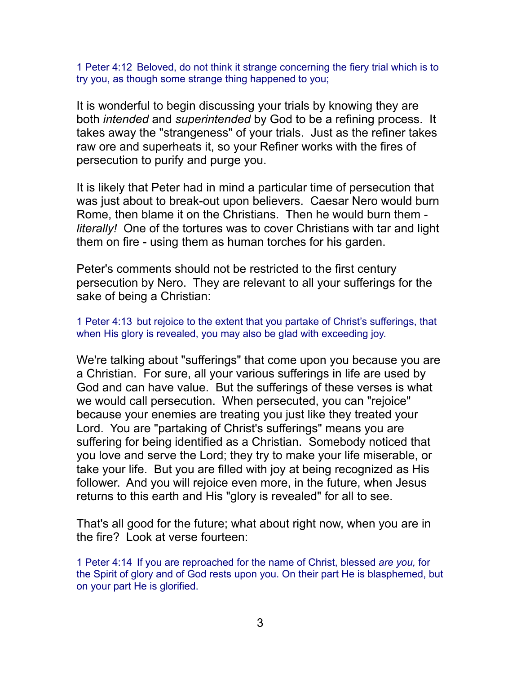1 Peter 4:12 Beloved, do not think it strange concerning the fiery trial which is to try you, as though some strange thing happened to you;

It is wonderful to begin discussing your trials by knowing they are both *intended* and *superintended* by God to be a refining process. It takes away the "strangeness" of your trials. Just as the refiner takes raw ore and superheats it, so your Refiner works with the fires of persecution to purify and purge you.

It is likely that Peter had in mind a particular time of persecution that was just about to break-out upon believers. Caesar Nero would burn Rome, then blame it on the Christians. Then he would burn them *literally!* One of the tortures was to cover Christians with tar and light them on fire - using them as human torches for his garden.

Peter's comments should not be restricted to the first century persecution by Nero. They are relevant to all your sufferings for the sake of being a Christian:

1 Peter 4:13 but rejoice to the extent that you partake of Christ's sufferings, that when His glory is revealed, you may also be glad with exceeding joy.

We're talking about "sufferings" that come upon you because you are a Christian. For sure, all your various sufferings in life are used by God and can have value. But the sufferings of these verses is what we would call persecution. When persecuted, you can "rejoice" because your enemies are treating you just like they treated your Lord. You are "partaking of Christ's sufferings" means you are suffering for being identified as a Christian. Somebody noticed that you love and serve the Lord; they try to make your life miserable, or take your life. But you are filled with joy at being recognized as His follower. And you will rejoice even more, in the future, when Jesus returns to this earth and His "glory is revealed" for all to see.

That's all good for the future; what about right now, when you are in the fire? Look at verse fourteen:

1 Peter 4:14 If you are reproached for the name of Christ, blessed *are you,* for the Spirit of glory and of God rests upon you. On their part He is blasphemed, but on your part He is glorified.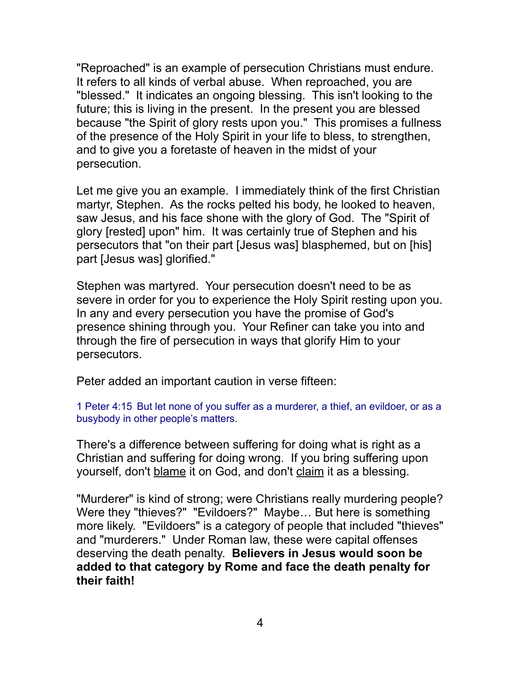"Reproached" is an example of persecution Christians must endure. It refers to all kinds of verbal abuse. When reproached, you are "blessed." It indicates an ongoing blessing. This isn't looking to the future; this is living in the present. In the present you are blessed because "the Spirit of glory rests upon you." This promises a fullness of the presence of the Holy Spirit in your life to bless, to strengthen, and to give you a foretaste of heaven in the midst of your persecution.

Let me give you an example. I immediately think of the first Christian martyr, Stephen. As the rocks pelted his body, he looked to heaven, saw Jesus, and his face shone with the glory of God. The "Spirit of glory [rested] upon" him. It was certainly true of Stephen and his persecutors that "on their part [Jesus was] blasphemed, but on [his] part [Jesus was] glorified."

Stephen was martyred. Your persecution doesn't need to be as severe in order for you to experience the Holy Spirit resting upon you. In any and every persecution you have the promise of God's presence shining through you. Your Refiner can take you into and through the fire of persecution in ways that glorify Him to your persecutors.

Peter added an important caution in verse fifteen:

1 Peter 4:15 But let none of you suffer as a murderer, a thief, an evildoer, or as a busybody in other people's matters.

There's a difference between suffering for doing what is right as a Christian and suffering for doing wrong. If you bring suffering upon yourself, don't blame it on God, and don't claim it as a blessing.

"Murderer" is kind of strong; were Christians really murdering people? Were they "thieves?" "Evildoers?" Maybe... But here is something more likely. "Evildoers" is a category of people that included "thieves" and "murderers." Under Roman law, these were capital offenses deserving the death penalty. **Believers in Jesus would soon be added to that category by Rome and face the death penalty for their faith!**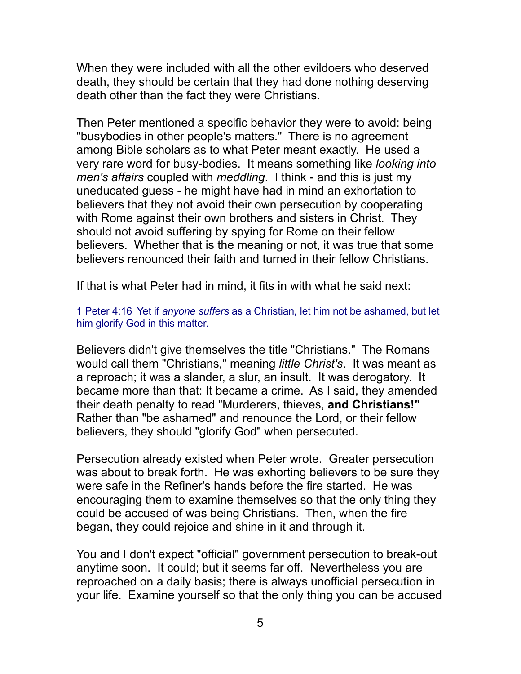When they were included with all the other evildoers who deserved death, they should be certain that they had done nothing deserving death other than the fact they were Christians.

Then Peter mentioned a specific behavior they were to avoid: being "busybodies in other people's matters." There is no agreement among Bible scholars as to what Peter meant exactly. He used a very rare word for busy-bodies. It means something like *looking into men's affairs* coupled with *meddling*. I think - and this is just my uneducated guess - he might have had in mind an exhortation to believers that they not avoid their own persecution by cooperating with Rome against their own brothers and sisters in Christ. They should not avoid suffering by spying for Rome on their fellow believers. Whether that is the meaning or not, it was true that some believers renounced their faith and turned in their fellow Christians.

If that is what Peter had in mind, it fits in with what he said next:

1 Peter 4:16 Yet if *anyone suffers* as a Christian, let him not be ashamed, but let him glorify God in this matter.

Believers didn't give themselves the title "Christians." The Romans would call them "Christians," meaning *little Christ's*. It was meant as a reproach; it was a slander, a slur, an insult. It was derogatory. It became more than that: It became a crime. As I said, they amended their death penalty to read "Murderers, thieves, **and Christians!"** Rather than "be ashamed" and renounce the Lord, or their fellow believers, they should "glorify God" when persecuted.

Persecution already existed when Peter wrote. Greater persecution was about to break forth. He was exhorting believers to be sure they were safe in the Refiner's hands before the fire started. He was encouraging them to examine themselves so that the only thing they could be accused of was being Christians. Then, when the fire began, they could rejoice and shine in it and through it.

You and I don't expect "official" government persecution to break-out anytime soon. It could; but it seems far off. Nevertheless you are reproached on a daily basis; there is always unofficial persecution in your life. Examine yourself so that the only thing you can be accused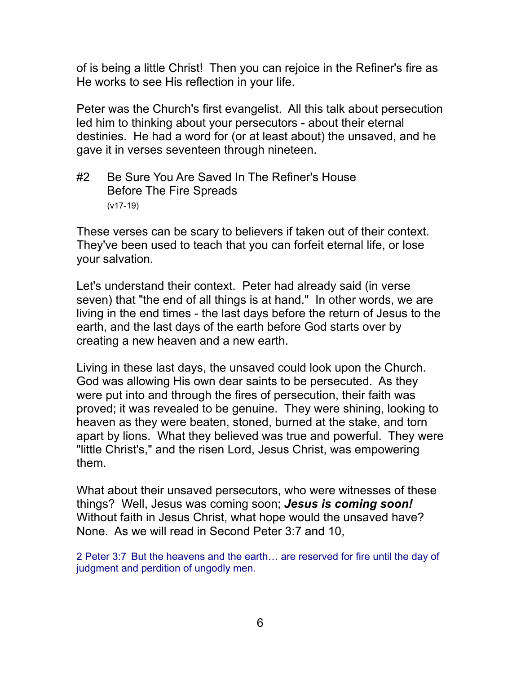of is being a little Christ! Then you can rejoice in the Refiner's fire as He works to see His reflection in your life.

Peter was the Church's first evangelist. All this talk about persecution led him to thinking about your persecutors - about their eternal destinies. He had a word for (or at least about) the unsaved, and he gave it in verses seventeen through nineteen.

## #2 Be Sure You Are Saved In The Refiner's House Before The Fire Spreads (v17-19)

These verses can be scary to believers if taken out of their context. They've been used to teach that you can forfeit eternal life, or lose your salvation.

Let's understand their context. Peter had already said (in verse seven) that "the end of all things is at hand." In other words, we are living in the end times - the last days before the return of Jesus to the earth, and the last days of the earth before God starts over by creating a new heaven and a new earth.

Living in these last days, the unsaved could look upon the Church. God was allowing His own dear saints to be persecuted. As they were put into and through the fires of persecution, their faith was proved; it was revealed to be genuine. They were shining, looking to heaven as they were beaten, stoned, burned at the stake, and torn apart by lions. What they believed was true and powerful. They were "little Christ's," and the risen Lord, Jesus Christ, was empowering them.

What about their unsaved persecutors, who were witnesses of these things? Well, Jesus was coming soon; *Jesus is coming soon!* Without faith in Jesus Christ, what hope would the unsaved have? None. As we will read in Second Peter 3:7 and 10,

2 Peter 3:7 But the heavens and the earth… are reserved for fire until the day of judgment and perdition of ungodly men.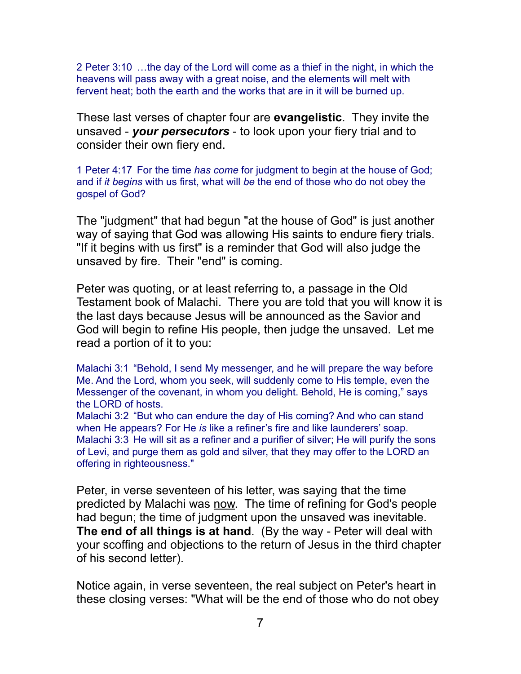2 Peter 3:10 …the day of the Lord will come as a thief in the night, in which the heavens will pass away with a great noise, and the elements will melt with fervent heat; both the earth and the works that are in it will be burned up.

These last verses of chapter four are **evangelistic**. They invite the unsaved - *your persecutors* - to look upon your fiery trial and to consider their own fiery end.

1 Peter 4:17 For the time *has come* for judgment to begin at the house of God; and if *it begins* with us first, what will *be* the end of those who do not obey the gospel of God?

The "judgment" that had begun "at the house of God" is just another way of saying that God was allowing His saints to endure fiery trials. "If it begins with us first" is a reminder that God will also judge the unsaved by fire. Their "end" is coming.

Peter was quoting, or at least referring to, a passage in the Old Testament book of Malachi. There you are told that you will know it is the last days because Jesus will be announced as the Savior and God will begin to refine His people, then judge the unsaved. Let me read a portion of it to you:

Malachi 3:1 "Behold, I send My messenger, and he will prepare the way before Me. And the Lord, whom you seek, will suddenly come to His temple, even the Messenger of the covenant, in whom you delight. Behold, He is coming," says the LORD of hosts.

Malachi 3:2 "But who can endure the day of His coming? And who can stand when He appears? For He *is* like a refiner's fire and like launderers' soap. Malachi 3:3 He will sit as a refiner and a purifier of silver; He will purify the sons of Levi, and purge them as gold and silver, that they may offer to the LORD an offering in righteousness."

Peter, in verse seventeen of his letter, was saying that the time predicted by Malachi was now. The time of refining for God's people had begun; the time of judgment upon the unsaved was inevitable. **The end of all things is at hand**. (By the way - Peter will deal with your scoffing and objections to the return of Jesus in the third chapter of his second letter).

Notice again, in verse seventeen, the real subject on Peter's heart in these closing verses: "What will be the end of those who do not obey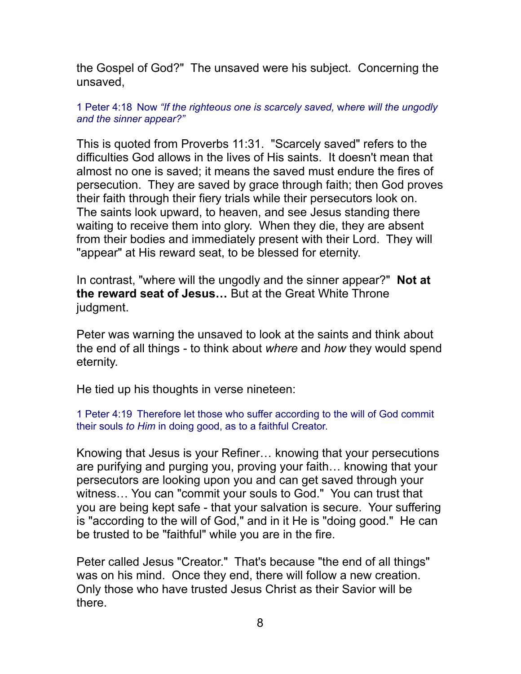the Gospel of God?" The unsaved were his subject. Concerning the unsaved,

1 Peter 4:18 Now *"If the righteous one is scarcely saved,* w*here will the ungodly and the sinner appear?"* 

This is quoted from Proverbs 11:31. "Scarcely saved" refers to the difficulties God allows in the lives of His saints. It doesn't mean that almost no one is saved; it means the saved must endure the fires of persecution. They are saved by grace through faith; then God proves their faith through their fiery trials while their persecutors look on. The saints look upward, to heaven, and see Jesus standing there waiting to receive them into glory. When they die, they are absent from their bodies and immediately present with their Lord. They will "appear" at His reward seat, to be blessed for eternity.

In contrast, "where will the ungodly and the sinner appear?" **Not at the reward seat of Jesus…** But at the Great White Throne judgment.

Peter was warning the unsaved to look at the saints and think about the end of all things - to think about *where* and *how* they would spend eternity.

He tied up his thoughts in verse nineteen:

1 Peter 4:19 Therefore let those who suffer according to the will of God commit their souls *to Him* in doing good, as to a faithful Creator.

Knowing that Jesus is your Refiner… knowing that your persecutions are purifying and purging you, proving your faith… knowing that your persecutors are looking upon you and can get saved through your witness… You can "commit your souls to God." You can trust that you are being kept safe - that your salvation is secure. Your suffering is "according to the will of God," and in it He is "doing good." He can be trusted to be "faithful" while you are in the fire.

Peter called Jesus "Creator." That's because "the end of all things" was on his mind. Once they end, there will follow a new creation. Only those who have trusted Jesus Christ as their Savior will be there.